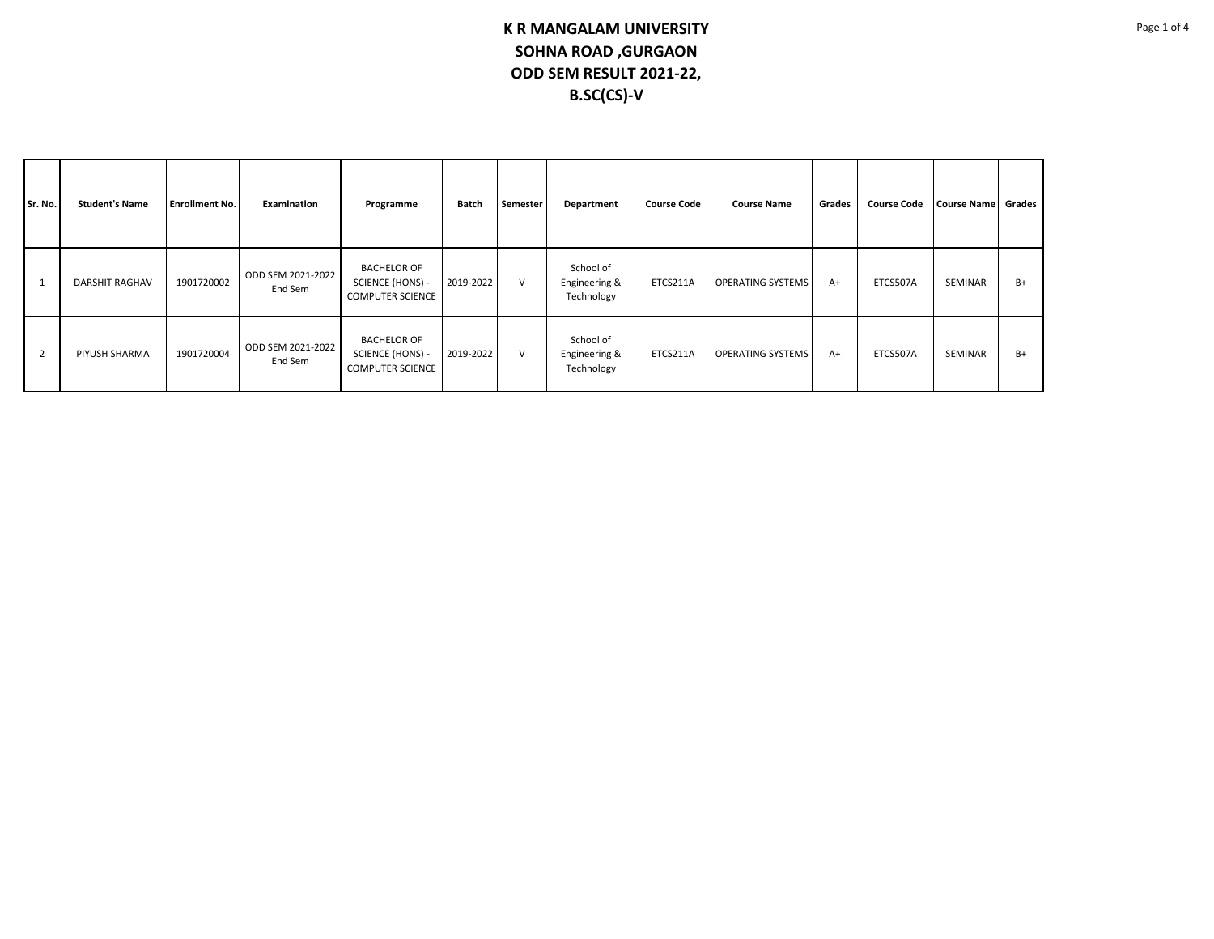| Sr. No. | <b>Student's Name</b> | <b>Enrollment No.</b> | Examination                  | Programme                                                                | Batch     | Semester | Department                               | <b>Course Code</b> | <b>Course Name</b>       | Grades | <b>Course Code</b> | <b>Course Name</b> | Grades |
|---------|-----------------------|-----------------------|------------------------------|--------------------------------------------------------------------------|-----------|----------|------------------------------------------|--------------------|--------------------------|--------|--------------------|--------------------|--------|
|         | <b>DARSHIT RAGHAV</b> | 1901720002            | ODD SEM 2021-2022<br>End Sem | <b>BACHELOR OF</b><br><b>SCIENCE (HONS) -</b><br><b>COMPUTER SCIENCE</b> | 2019-2022 | $\vee$   | School of<br>Engineering &<br>Technology | ETCS211A           | <b>OPERATING SYSTEMS</b> | $A+$   | ETCS507A           | SEMINAR            | B+     |
|         | PIYUSH SHARMA         | 1901720004            | ODD SEM 2021-2022<br>End Sem | <b>BACHELOR OF</b><br>SCIENCE (HONS) -<br><b>COMPUTER SCIENCE</b>        | 2019-2022 | $\vee$   | School of<br>Engineering &<br>Technology | ETCS211A           | <b>OPERATING SYSTEMS</b> | $A+$   | ETCS507A           | SEMINAR            | B+     |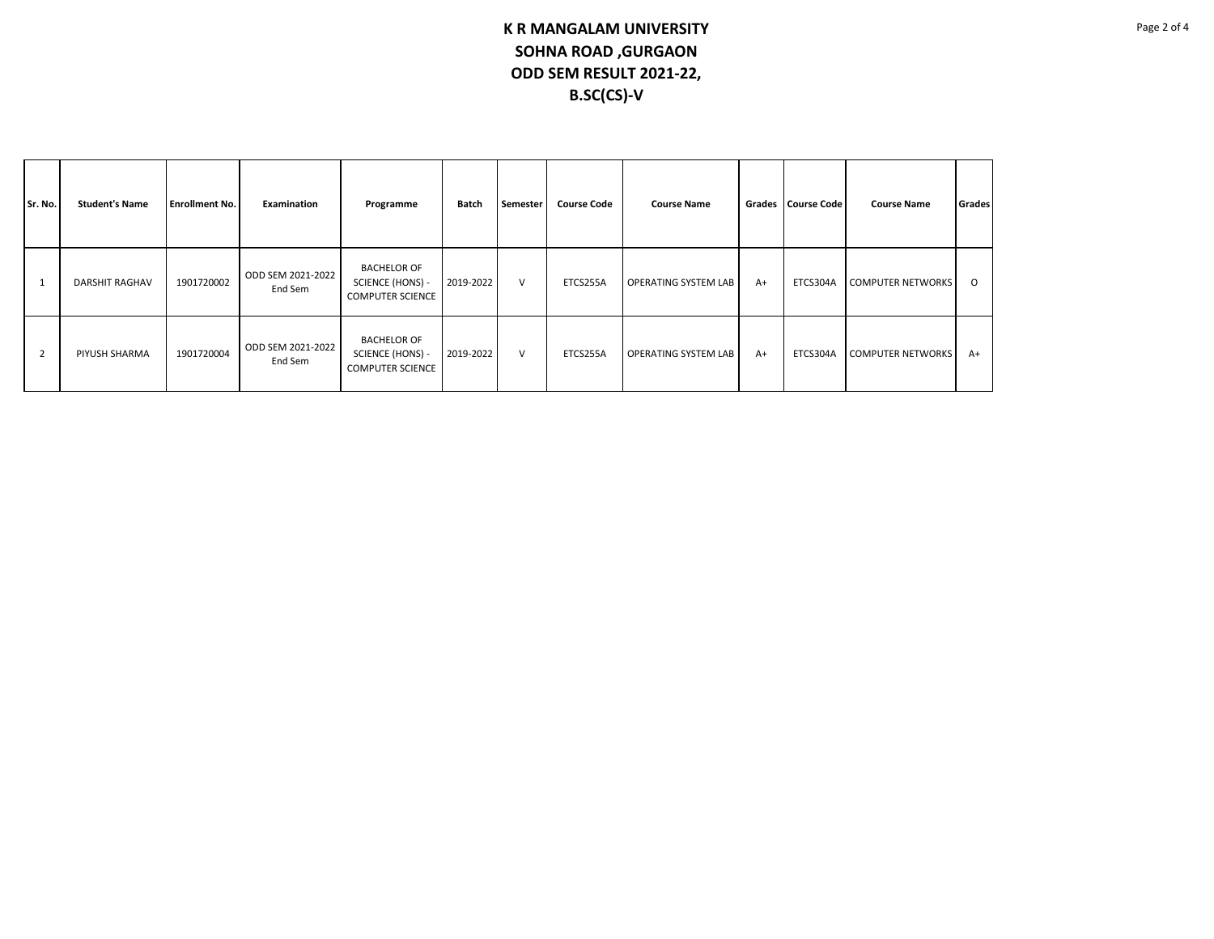| Sr. No.        | <b>Student's Name</b> | <b>Enrollment No.</b> | Examination                  | Programme                                                         | Batch     | Semester | <b>Course Code</b> | <b>Course Name</b>          |      | Grades   Course Code | <b>Course Name</b>       | Grades  |
|----------------|-----------------------|-----------------------|------------------------------|-------------------------------------------------------------------|-----------|----------|--------------------|-----------------------------|------|----------------------|--------------------------|---------|
|                | <b>DARSHIT RAGHAV</b> | 1901720002            | ODD SEM 2021-2022<br>End Sem | <b>BACHELOR OF</b><br>SCIENCE (HONS) -<br><b>COMPUTER SCIENCE</b> | 2019-2022 | $\vee$   | ETCS255A           | <b>OPERATING SYSTEM LAB</b> | $A+$ | ETCS304A             | <b>COMPUTER NETWORKS</b> | $\circ$ |
| $\overline{2}$ | PIYUSH SHARMA         | 1901720004            | ODD SEM 2021-2022<br>End Sem | <b>BACHELOR OF</b><br>SCIENCE (HONS) -<br><b>COMPUTER SCIENCE</b> | 2019-2022 | $\vee$   | ETCS255A           | <b>OPERATING SYSTEM LAB</b> | $A+$ | ETCS304A             | <b>COMPUTER NETWORKS</b> | $A+$    |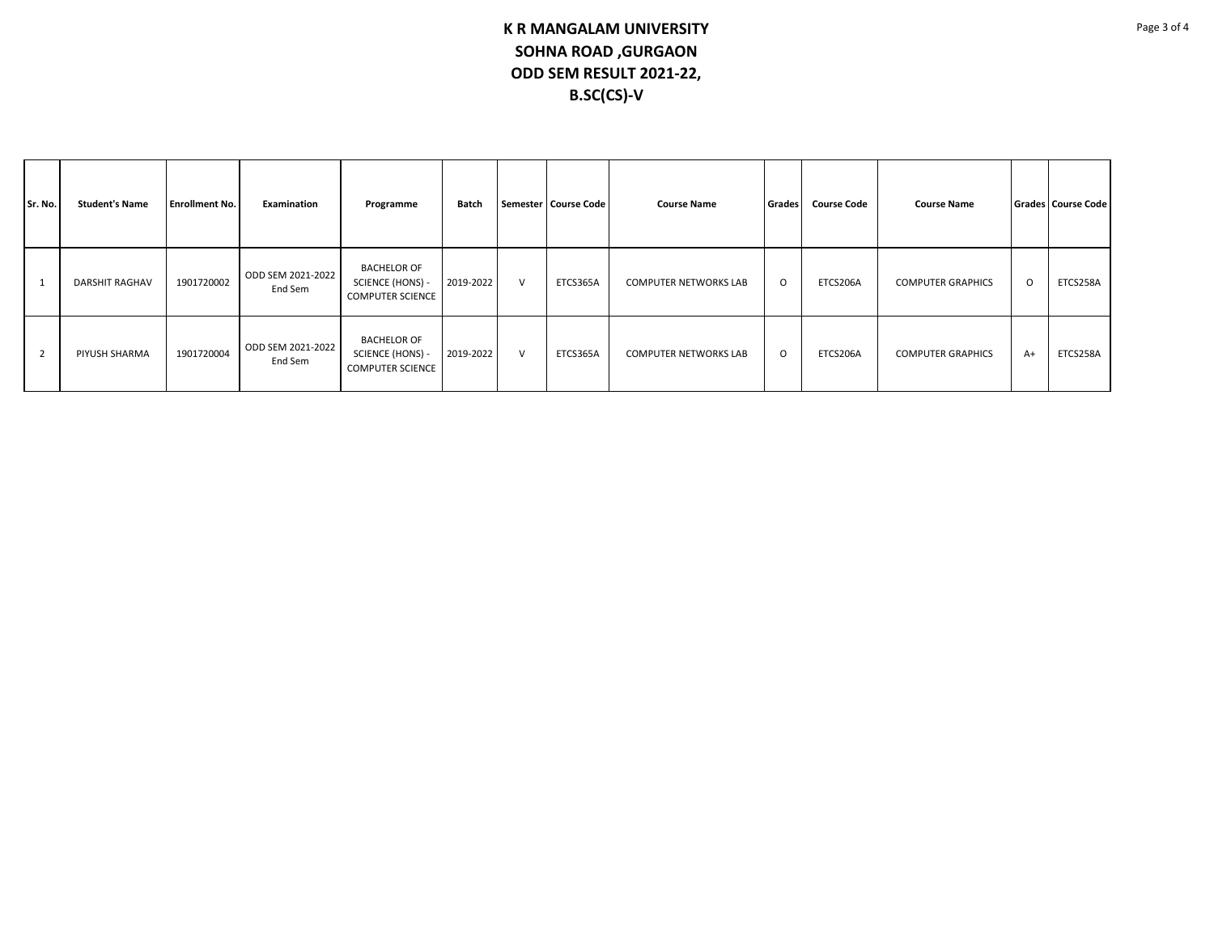| Sr. No.        | <b>Student's Name</b> | <b>Enrollment No.</b> | Examination                  | Programme                                                         | Batch     |        | Semester   Course Code | <b>Course Name</b>           | <b>Course Code</b><br><b>Grades</b> |          | <b>Course Name</b>       |         | Grades Course Code |
|----------------|-----------------------|-----------------------|------------------------------|-------------------------------------------------------------------|-----------|--------|------------------------|------------------------------|-------------------------------------|----------|--------------------------|---------|--------------------|
| $\mathbf{1}$   | <b>DARSHIT RAGHAV</b> | 1901720002            | ODD SEM 2021-2022<br>End Sem | <b>BACHELOR OF</b><br>SCIENCE (HONS) -<br><b>COMPUTER SCIENCE</b> | 2019-2022 | $\vee$ | ETCS365A               | <b>COMPUTER NETWORKS LAB</b> | $\circ$                             | ETCS206A | <b>COMPUTER GRAPHICS</b> | $\circ$ | ETCS258A           |
| $\overline{2}$ | PIYUSH SHARMA         | 1901720004            | ODD SEM 2021-2022<br>End Sem | <b>BACHELOR OF</b><br>SCIENCE (HONS) -<br><b>COMPUTER SCIENCE</b> | 2019-2022 | $\vee$ | ETCS365A               | <b>COMPUTER NETWORKS LAB</b> | $\circ$                             | ETCS206A | <b>COMPUTER GRAPHICS</b> | $A+$    | ETCS258A           |